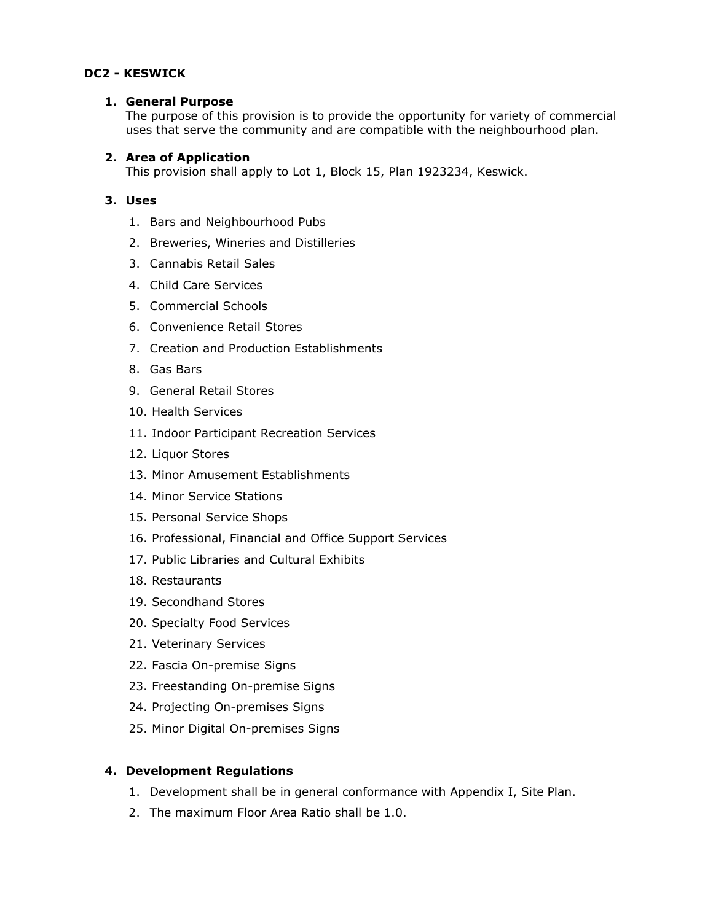## **DC2 - KESWICK**

#### **1. General Purpose**

The purpose of this provision is to provide the opportunity for variety of commercial uses that serve the community and are compatible with the neighbourhood plan.

### **2. Area of Application**

This provision shall apply to Lot 1, Block 15, Plan 1923234, Keswick.

## **3. Uses**

- 1. Bars and Neighbourhood Pubs
- 2. Breweries, Wineries and Distilleries
- 3. Cannabis Retail Sales
- 4. Child Care Services
- 5. Commercial Schools
- 6. Convenience Retail Stores
- 7. Creation and Production Establishments
- 8. Gas Bars
- 9. General Retail Stores
- 10. Health Services
- 11. Indoor Participant Recreation Services
- 12. Liquor Stores
- 13. Minor Amusement Establishments
- 14. Minor Service Stations
- 15. Personal Service Shops
- 16. Professional, Financial and Office Support Services
- 17. Public Libraries and Cultural Exhibits
- 18. Restaurants
- 19. Secondhand Stores
- 20. Specialty Food Services
- 21. Veterinary Services
- 22. Fascia On-premise Signs
- 23. Freestanding On-premise Signs
- 24. Projecting On-premises Signs
- 25. Minor Digital On-premises Signs

# **4. Development Regulations**

- 1. Development shall be in general conformance with Appendix I, Site Plan.
- 2. The maximum Floor Area Ratio shall be 1.0.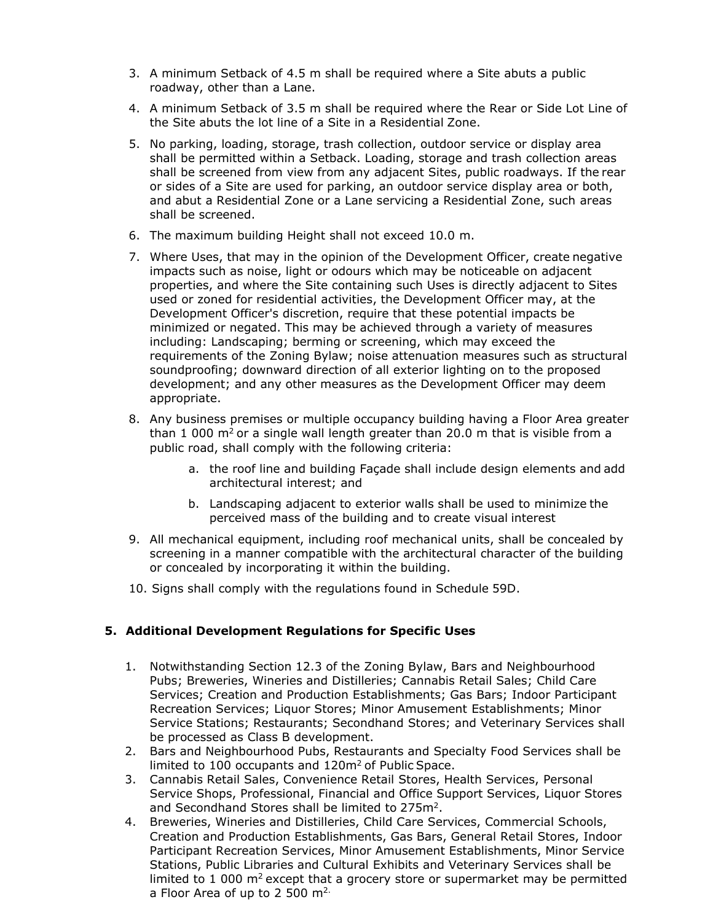- 3. A minimum Setback of 4.5 m shall be required where a Site abuts a public roadway, other than a Lane.
- 4. A minimum Setback of 3.5 m shall be required where the Rear or Side Lot Line of the Site abuts the lot line of a Site in a Residential Zone.
- 5. No parking, loading, storage, trash collection, outdoor service or display area shall be permitted within a Setback. Loading, storage and trash collection areas shall be screened from view from any adjacent Sites, public roadways. If the rear or sides of a Site are used for parking, an outdoor service display area or both, and abut a Residential Zone or a Lane servicing a Residential Zone, such areas shall be screened.
- 6. The maximum building Height shall not exceed 10.0 m.
- 7. Where Uses, that may in the opinion of the Development Officer, create negative impacts such as noise, light or odours which may be noticeable on adjacent properties, and where the Site containing such Uses is directly adjacent to Sites used or zoned for residential activities, the Development Officer may, at the Development Officer's discretion, require that these potential impacts be minimized or negated. This may be achieved through a variety of measures including: Landscaping; berming or screening, which may exceed the requirements of the Zoning Bylaw; noise attenuation measures such as structural soundproofing; downward direction of all exterior lighting on to the proposed development; and any other measures as the Development Officer may deem appropriate.
- 8. Any business premises or multiple occupancy building having a Floor Area greater than 1 000  $\text{m}^2$  or a single wall length greater than 20.0 m that is visible from a public road, shall comply with the following criteria:
	- a. the roof line and building Façade shall include design elements and add architectural interest; and
	- b. Landscaping adjacent to exterior walls shall be used to minimize the perceived mass of the building and to create visual interest
- 9. All mechanical equipment, including roof mechanical units, shall be concealed by screening in a manner compatible with the architectural character of the building or concealed by incorporating it within the building.
- 10. Signs shall comply with the regulations found in Schedule 59D.

### **5. Additional Development Regulations for Specific Uses**

- 1. Notwithstanding Section 12.3 of the Zoning Bylaw, Bars and Neighbourhood Pubs; Breweries, Wineries and Distilleries; Cannabis Retail Sales; Child Care Services; Creation and Production Establishments; Gas Bars; Indoor Participant Recreation Services; Liquor Stores; Minor Amusement Establishments; Minor Service Stations; Restaurants; Secondhand Stores; and Veterinary Services shall be processed as Class B development.
- 2. Bars and Neighbourhood Pubs, Restaurants and Specialty Food Services shall be limited to  $100$  occupants and  $120m^2$  of Public Space.
- 3. Cannabis Retail Sales, Convenience Retail Stores, Health Services, Personal Service Shops, Professional, Financial and Office Support Services, Liquor Stores and Secondhand Stores shall be limited to 275m<sup>2</sup>.
- 4. Breweries, Wineries and Distilleries, Child Care Services, Commercial Schools, Creation and Production Establishments, Gas Bars, General Retail Stores, Indoor Participant Recreation Services, Minor Amusement Establishments, Minor Service Stations, Public Libraries and Cultural Exhibits and Veterinary Services shall be limited to  $1000$  m<sup>2</sup> except that a grocery store or supermarket may be permitted a Floor Area of up to 2 500  $m<sup>2</sup>$ .